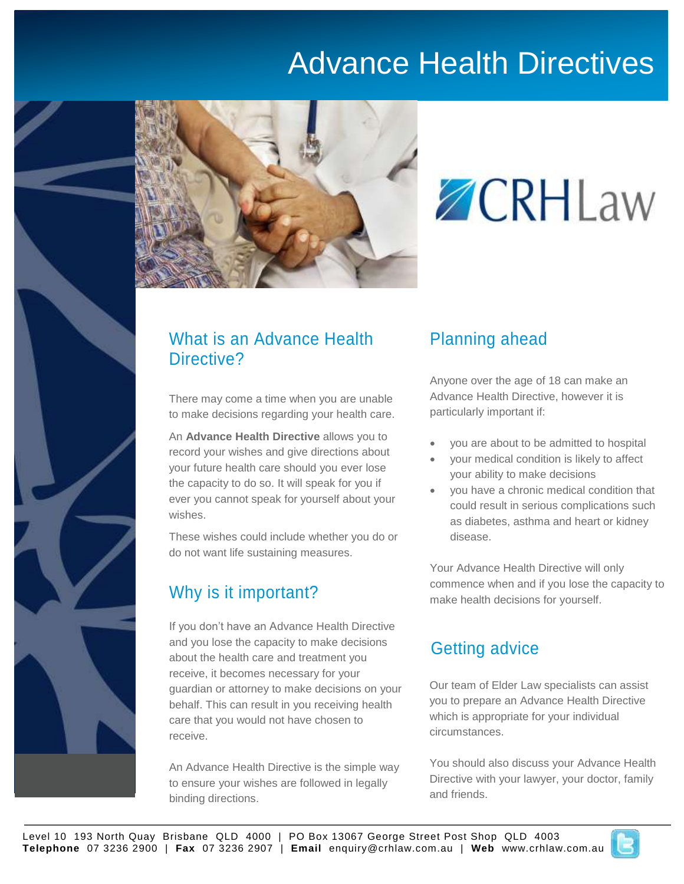## Advance Health Directives



# **ZCRHLaw**

### What is an Advance Health Directive?

There may come a time when you are unable to make decisions regarding your health care.

An **Advance Health Directive** allows you to record your wishes and give directions about your future health care should you ever lose the capacity to do so. It will speak for you if ever you cannot speak for yourself about your wishes.

These wishes could include whether you do or do not want life sustaining measures.

## Why is it important?

If you don't have an Advance Health Directive and you lose the capacity to make decisions about the health care and treatment you receive, it becomes necessary for your guardian or attorney to make decisions on your behalf. This can result in you receiving health care that you would not have chosen to receive.

An Advance Health Directive is the simple way to ensure your wishes are followed in legally binding directions.

## Planning ahead

Anyone over the age of 18 can make an Advance Health Directive, however it is particularly important if:

- you are about to be admitted to hospital
- your medical condition is likely to affect your ability to make decisions
- you have a chronic medical condition that could result in serious complications such as diabetes, asthma and heart or kidney disease.

Your Advance Health Directive will only commence when and if you lose the capacity to make health decisions for yourself.

## Getting advice

Our team of Elder Law specialists can assist you to prepare an Advance Health Directive which is appropriate for your individual circumstances.

You should also discuss your Advance Health Directive with your lawyer, your doctor, family and friends.